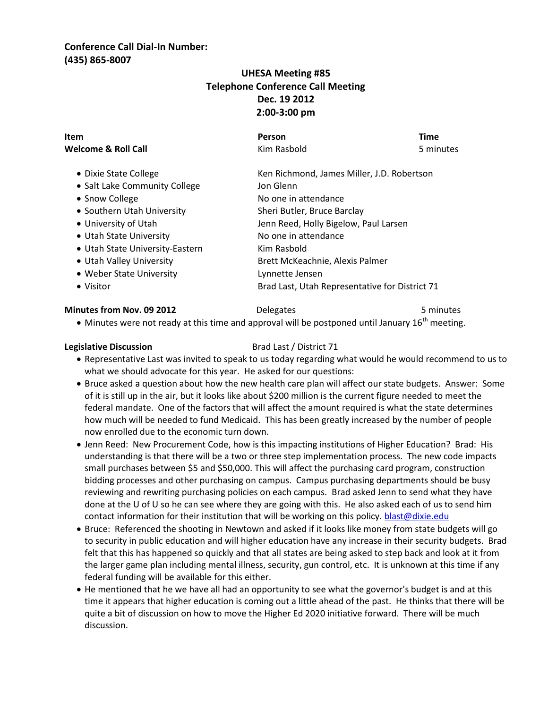## **Conference Call Dial-In Number: (435) 865-8007**

# **UHESA Meeting #85 Telephone Conference Call Meeting Dec. 19 2012 2:00-3:00 pm**

| Item                            | Person                                         | <b>Time</b> |  |
|---------------------------------|------------------------------------------------|-------------|--|
| Welcome & Roll Call             | Kim Rasbold                                    | 5 minutes   |  |
| • Dixie State College           | Ken Richmond, James Miller, J.D. Robertson     |             |  |
| • Salt Lake Community College   | Jon Glenn                                      |             |  |
| • Snow College                  | No one in attendance                           |             |  |
| • Southern Utah University      | Sheri Butler, Bruce Barclay                    |             |  |
| • University of Utah            | Jenn Reed, Holly Bigelow, Paul Larsen          |             |  |
| • Utah State University         | No one in attendance                           |             |  |
| • Utah State University-Eastern | Kim Rasbold                                    |             |  |
| • Utah Valley University        | Brett McKeachnie, Alexis Palmer                |             |  |
| • Weber State University        | Lynnette Jensen                                |             |  |
| • Visitor                       | Brad Last, Utah Representative for District 71 |             |  |

### **Minutes from Nov. 09 2012** Delegates **1988** Delegates 5 minutes

 $\bullet$  Minutes were not ready at this time and approval will be postponed until January 16<sup>th</sup> meeting.

### **Legislative Discussion** Brad Last / District 71

- Representative Last was invited to speak to us today regarding what would he would recommend to us to what we should advocate for this year. He asked for our questions:
- Bruce asked a question about how the new health care plan will affect our state budgets. Answer: Some of it is still up in the air, but it looks like about \$200 million is the current figure needed to meet the federal mandate. One of the factors that will affect the amount required is what the state determines how much will be needed to fund Medicaid. This has been greatly increased by the number of people now enrolled due to the economic turn down.
- Jenn Reed: New Procurement Code, how is this impacting institutions of Higher Education? Brad: His understanding is that there will be a two or three step implementation process. The new code impacts small purchases between \$5 and \$50,000. This will affect the purchasing card program, construction bidding processes and other purchasing on campus. Campus purchasing departments should be busy reviewing and rewriting purchasing policies on each campus. Brad asked Jenn to send what they have done at the U of U so he can see where they are going with this. He also asked each of us to send him contact information for their institution that will be working on this policy[. blast@dixie.edu](mailto:blast@dixie.edu)
- Bruce: Referenced the shooting in Newtown and asked if it looks like money from state budgets will go to security in public education and will higher education have any increase in their security budgets. Brad felt that this has happened so quickly and that all states are being asked to step back and look at it from the larger game plan including mental illness, security, gun control, etc. It is unknown at this time if any federal funding will be available for this either.
- He mentioned that he we have all had an opportunity to see what the governor's budget is and at this time it appears that higher education is coming out a little ahead of the past. He thinks that there will be quite a bit of discussion on how to move the Higher Ed 2020 initiative forward. There will be much discussion.